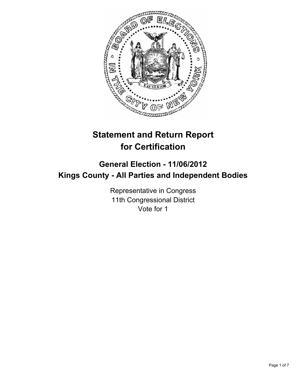

# **Statement and Return Report for Certification**

## **General Election - 11/06/2012 Kings County - All Parties and Independent Bodies**

Representative in Congress 11th Congressional District Vote for 1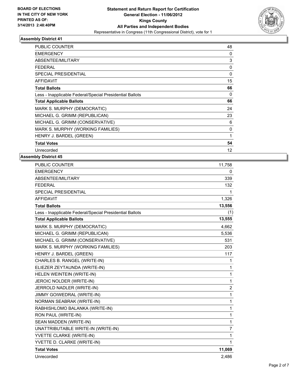

| <b>PUBLIC COUNTER</b>                                    | 48           |
|----------------------------------------------------------|--------------|
| <b>EMERGENCY</b>                                         | 0            |
| ABSENTEE/MILITARY                                        | 3            |
| FEDERAL                                                  | 0            |
| <b>SPECIAL PRESIDENTIAL</b>                              | 0            |
| <b>AFFIDAVIT</b>                                         | 15           |
| <b>Total Ballots</b>                                     | 66           |
| Less - Inapplicable Federal/Special Presidential Ballots | 0            |
| <b>Total Applicable Ballots</b>                          | 66           |
| MARK S. MURPHY (DEMOCRATIC)                              | 24           |
| MICHAEL G. GRIMM (REPUBLICAN)                            | 23           |
| MICHAEL G. GRIMM (CONSERVATIVE)                          | 6            |
| MARK S. MURPHY (WORKING FAMILIES)                        | $\mathbf{0}$ |
| HENRY J. BARDEL (GREEN)                                  | 1            |
| <b>Total Votes</b>                                       | 54           |
| Unrecorded                                               | 12           |

| <b>PUBLIC COUNTER</b>                                    | 11,758         |
|----------------------------------------------------------|----------------|
| <b>EMERGENCY</b>                                         | 0              |
| ABSENTEE/MILITARY                                        | 339            |
| <b>FEDERAL</b>                                           | 132            |
| <b>SPECIAL PRESIDENTIAL</b>                              | 1              |
| <b>AFFIDAVIT</b>                                         | 1,326          |
| <b>Total Ballots</b>                                     | 13,556         |
| Less - Inapplicable Federal/Special Presidential Ballots | (1)            |
| <b>Total Applicable Ballots</b>                          | 13,555         |
| MARK S. MURPHY (DEMOCRATIC)                              | 4,662          |
| MICHAEL G. GRIMM (REPUBLICAN)                            | 5,536          |
| MICHAEL G. GRIMM (CONSERVATIVE)                          | 531            |
| MARK S. MURPHY (WORKING FAMILIES)                        | 203            |
| HENRY J. BARDEL (GREEN)                                  | 117            |
| CHARLES B. RANGEL (WRITE-IN)                             | 1              |
| ELIEZER ZEYTAUNDA (WRITE-IN)                             | 1              |
| HELEN WEINTEIN (WRITE-IN)                                | 1              |
| JEROIC NOLDER (WRITE-IN)                                 | $\mathbf{1}$   |
| JERROLD NADLER (WRITE-IN)                                | $\overline{2}$ |
| JIMMY GOIWEDRAL (WRITE-IN)                               | 1              |
| NORMAN SEABRAK (WRITE-IN)                                | 1              |
| RABHISHLOMO BALANKA (WRITE-IN)                           | 1              |
| RON PAUL (WRITE-IN)                                      | 1              |
| SEAN MADDEN (WRITE-IN)                                   | 1              |
| UNATTRIBUTABLE WRITE-IN (WRITE-IN)                       | $\overline{7}$ |
| YVETTE CLARKE (WRITE-IN)                                 | 1              |
| YVETTE D. CLARKE (WRITE-IN)                              | 1              |
| <b>Total Votes</b>                                       | 11,069         |
| Unrecorded                                               | 2.486          |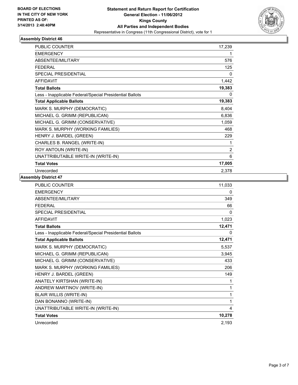

| <b>PUBLIC COUNTER</b>                                    | 17,239         |
|----------------------------------------------------------|----------------|
| <b>EMERGENCY</b>                                         | 1              |
| <b>ABSENTEE/MILITARY</b>                                 | 576            |
| <b>FEDERAL</b>                                           | 125            |
| <b>SPECIAL PRESIDENTIAL</b>                              | 0              |
| <b>AFFIDAVIT</b>                                         | 1,442          |
| <b>Total Ballots</b>                                     | 19,383         |
| Less - Inapplicable Federal/Special Presidential Ballots | 0              |
| <b>Total Applicable Ballots</b>                          | 19,383         |
| MARK S. MURPHY (DEMOCRATIC)                              | 8,404          |
| MICHAEL G. GRIMM (REPUBLICAN)                            | 6,836          |
| MICHAEL G. GRIMM (CONSERVATIVE)                          | 1,059          |
| MARK S. MURPHY (WORKING FAMILIES)                        | 468            |
| HENRY J. BARDEL (GREEN)                                  | 229            |
| CHARLES B. RANGEL (WRITE-IN)                             | 1              |
| ROY ANTOUN (WRITE-IN)                                    | $\overline{2}$ |
| UNATTRIBUTABLE WRITE-IN (WRITE-IN)                       | 6              |
| <b>Total Votes</b>                                       | 17,005         |
| Unrecorded                                               | 2,378          |

| <b>PUBLIC COUNTER</b>                                    | 11,033   |
|----------------------------------------------------------|----------|
| <b>EMERGENCY</b>                                         | 0        |
| <b>ABSENTEE/MILITARY</b>                                 | 349      |
| <b>FFDFRAL</b>                                           | 66       |
| <b>SPECIAL PRESIDENTIAL</b>                              | $\Omega$ |
| <b>AFFIDAVIT</b>                                         | 1,023    |
| <b>Total Ballots</b>                                     | 12,471   |
| Less - Inapplicable Federal/Special Presidential Ballots | 0        |
| <b>Total Applicable Ballots</b>                          | 12,471   |
| MARK S. MURPHY (DEMOCRATIC)                              | 5,537    |
| MICHAEL G. GRIMM (REPUBLICAN)                            | 3,945    |
| MICHAEL G. GRIMM (CONSERVATIVE)                          | 433      |
| MARK S. MURPHY (WORKING FAMILIES)                        | 206      |
| HENRY J. BARDEL (GREEN)                                  | 149      |
| ANATELY KIRTSHAN (WRITE-IN)                              | 1        |
| ANDREW MARTINOV (WRITE-IN)                               | 1        |
| <b>BLAIR WILLIS (WRITE-IN)</b>                           | 1        |
| DAN BONANNO (WRITE-IN)                                   | 1        |
| UNATTRIBUTABLE WRITE-IN (WRITE-IN)                       | 4        |
| <b>Total Votes</b>                                       | 10,278   |
| Unrecorded                                               | 2,193    |
|                                                          |          |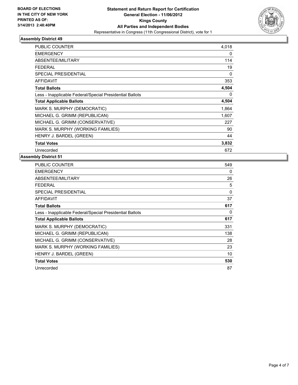

| <b>PUBLIC COUNTER</b>                                    | 4,018 |
|----------------------------------------------------------|-------|
| <b>EMERGENCY</b>                                         | 0     |
| ABSENTEE/MILITARY                                        | 114   |
| FEDERAL                                                  | 19    |
| <b>SPECIAL PRESIDENTIAL</b>                              | 0     |
| <b>AFFIDAVIT</b>                                         | 353   |
| <b>Total Ballots</b>                                     | 4,504 |
| Less - Inapplicable Federal/Special Presidential Ballots | 0     |
| <b>Total Applicable Ballots</b>                          | 4,504 |
| MARK S. MURPHY (DEMOCRATIC)                              | 1,864 |
| MICHAEL G. GRIMM (REPUBLICAN)                            | 1,607 |
| MICHAEL G. GRIMM (CONSERVATIVE)                          | 227   |
| MARK S. MURPHY (WORKING FAMILIES)                        | 90    |
| HENRY J. BARDEL (GREEN)                                  | 44    |
| <b>Total Votes</b>                                       | 3,832 |
| Unrecorded                                               | 672   |

| <b>PUBLIC COUNTER</b>                                    | 549      |
|----------------------------------------------------------|----------|
| <b>EMERGENCY</b>                                         | 0        |
| <b>ABSENTEE/MILITARY</b>                                 | 26       |
| FEDERAL                                                  | 5        |
| <b>SPECIAL PRESIDENTIAL</b>                              | $\Omega$ |
| <b>AFFIDAVIT</b>                                         | 37       |
| <b>Total Ballots</b>                                     | 617      |
| Less - Inapplicable Federal/Special Presidential Ballots | 0        |
| <b>Total Applicable Ballots</b>                          | 617      |
| MARK S. MURPHY (DEMOCRATIC)                              | 331      |
| MICHAEL G. GRIMM (REPUBLICAN)                            | 138      |
| MICHAEL G. GRIMM (CONSERVATIVE)                          | 28       |
| MARK S. MURPHY (WORKING FAMILIES)                        | 23       |
| HENRY J. BARDEL (GREEN)                                  | 10       |
| <b>Total Votes</b>                                       | 530      |
| Unrecorded                                               | 87       |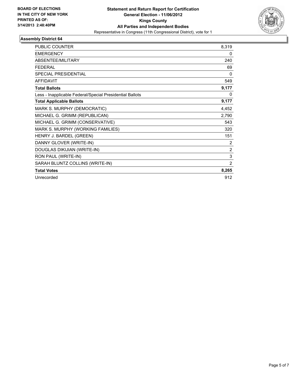

| <b>PUBLIC COUNTER</b>                                    | 8,319 |
|----------------------------------------------------------|-------|
| <b>EMERGENCY</b>                                         | 0     |
| <b>ABSENTEE/MILITARY</b>                                 | 240   |
| <b>FEDERAL</b>                                           | 69    |
| <b>SPECIAL PRESIDENTIAL</b>                              | 0     |
| <b>AFFIDAVIT</b>                                         | 549   |
| <b>Total Ballots</b>                                     | 9,177 |
| Less - Inapplicable Federal/Special Presidential Ballots | 0     |
| <b>Total Applicable Ballots</b>                          | 9,177 |
| MARK S. MURPHY (DEMOCRATIC)                              | 4,452 |
| MICHAEL G. GRIMM (REPUBLICAN)                            | 2,790 |
| MICHAEL G. GRIMM (CONSERVATIVE)                          | 543   |
| MARK S. MURPHY (WORKING FAMILIES)                        | 320   |
| HENRY J. BARDEL (GREEN)                                  | 151   |
| DANNY GLOVER (WRITE-IN)                                  | 2     |
| DOUGLAS DIKIJIAN (WRITE-IN)                              | 2     |
| RON PAUL (WRITE-IN)                                      | 3     |
| SARAH BLUNTZ COLLINS (WRITE-IN)                          | 2     |
| <b>Total Votes</b>                                       | 8,265 |
| Unrecorded                                               | 912   |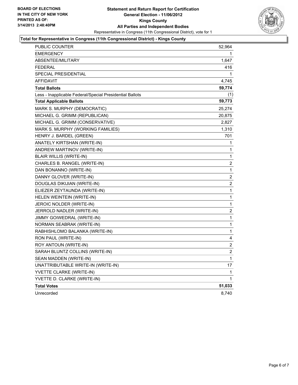

#### **Total for Representative in Congress (11th Congressional District) - Kings County**

| PUBLIC COUNTER                                           | 52,964         |
|----------------------------------------------------------|----------------|
| <b>EMERGENCY</b>                                         |                |
| <b>ABSENTEE/MILITARY</b>                                 | 1,647          |
| <b>FEDERAL</b>                                           | 416            |
| SPECIAL PRESIDENTIAL                                     | 1              |
| <b>AFFIDAVIT</b>                                         | 4,745          |
| <b>Total Ballots</b>                                     | 59,774         |
| Less - Inapplicable Federal/Special Presidential Ballots | (1)            |
| <b>Total Applicable Ballots</b>                          | 59,773         |
| MARK S. MURPHY (DEMOCRATIC)                              | 25,274         |
| MICHAEL G. GRIMM (REPUBLICAN)                            | 20,875         |
| MICHAEL G. GRIMM (CONSERVATIVE)                          | 2,827          |
| MARK S. MURPHY (WORKING FAMILIES)                        | 1,310          |
| HENRY J. BARDEL (GREEN)                                  | 701            |
| ANATELY KIRTSHAN (WRITE-IN)                              | 1              |
| ANDREW MARTINOV (WRITE-IN)                               | 1              |
| <b>BLAIR WILLIS (WRITE-IN)</b>                           | 1              |
| CHARLES B. RANGEL (WRITE-IN)                             | $\overline{2}$ |
| DAN BONANNO (WRITE-IN)                                   | 1              |
| DANNY GLOVER (WRITE-IN)                                  | 2              |
| DOUGLAS DIKIJIAN (WRITE-IN)                              | 2              |
| ELIEZER ZEYTAUNDA (WRITE-IN)                             | 1              |
| HELEN WEINTEIN (WRITE-IN)                                | 1              |
| JEROIC NOLDER (WRITE-IN)                                 | 1              |
| JERROLD NADLER (WRITE-IN)                                | 2              |
| JIMMY GOIWEDRAL (WRITE-IN)                               | 1              |
| NORMAN SEABRAK (WRITE-IN)                                | 1              |
| RABHISHLOMO BALANKA (WRITE-IN)                           | 1              |
| RON PAUL (WRITE-IN)                                      | 4              |
| ROY ANTOUN (WRITE-IN)                                    | 2              |
| SARAH BLUNTZ COLLINS (WRITE-IN)                          | 2              |
| SEAN MADDEN (WRITE-IN)                                   | 1              |
| UNATTRIBUTABLE WRITE-IN (WRITE-IN)                       | 17             |
| YVETTE CLARKE (WRITE-IN)                                 | 1              |
| YVETTE D. CLARKE (WRITE-IN)                              | 1              |
| <b>Total Votes</b>                                       | 51,033         |
| Unrecorded                                               | 8,740          |